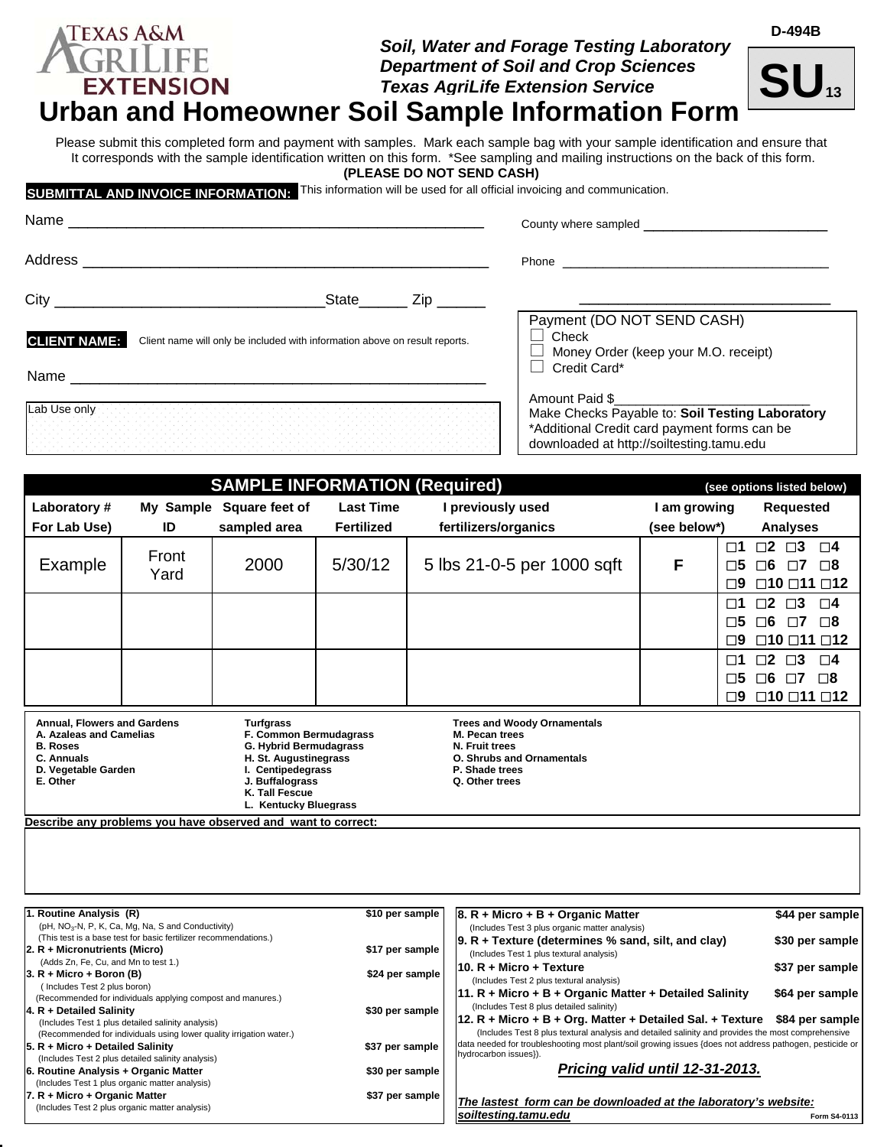#### Texas A&M *Soil, Water and Forage Testing Laboratory*  FRILI *Department of Soil and Crop Sciences*  **EXTENSION** *Texas AgriLife Extension Service*  **Urban and Homeowner Soil Sample Information Form**



**D-494B**

Please submit this completed form and payment with samples. Mark each sample bag with your sample identification and ensure that It corresponds with the sample identification written on this form. \*See sampling and mailing instructions on the back of this form.

**(PLEASE DO NOT SEND CASH)** 

**SUBMITTAL AND INVOICE INFORMATION:** This information will be used for all official invoicing and communication.

| Name                |                                                                             | County where sampled <b>Example</b> of the sample of the sample of the sample of the same of the same of the same of the same of the same of the same of the same of the same of the same of the same of the same of the same of th |  |  |
|---------------------|-----------------------------------------------------------------------------|-------------------------------------------------------------------------------------------------------------------------------------------------------------------------------------------------------------------------------------|--|--|
| Address             |                                                                             | <b>Phone Contract Contract Contract Contract Contract Contract Contract Contract Contract Contract Contract Contract Contract Contract Contract Contract Contract Contract Contract Contract Contract Contract Contract Contra</b>  |  |  |
| $City_$             | State<br>Zip <sub>r</sub>                                                   |                                                                                                                                                                                                                                     |  |  |
| <b>CLIENT NAME:</b> | Client name will only be included with information above on result reports. | Payment (DO NOT SEND CASH)<br>Check<br>$\Box$ Money Order (keep your M.O. receipt)                                                                                                                                                  |  |  |
| Name                |                                                                             | Credit Card*                                                                                                                                                                                                                        |  |  |
| Lab Use only        |                                                                             | Amount Paid \$<br>Make Checks Payable to: Soil Testing Laboratory<br>*Additional Credit card payment forms can be<br>downloaded at http://soiltesting.tamu.edu                                                                      |  |  |

| <b>SAMPLE INFORMATION (Required)</b><br>(see options listed below)                                                                                                                                                                                                                                             |               |                          |                   |                                                                                                                                                |                                      |              |                                                                                                             |                      |
|----------------------------------------------------------------------------------------------------------------------------------------------------------------------------------------------------------------------------------------------------------------------------------------------------------------|---------------|--------------------------|-------------------|------------------------------------------------------------------------------------------------------------------------------------------------|--------------------------------------|--------------|-------------------------------------------------------------------------------------------------------------|----------------------|
| Laboratory#                                                                                                                                                                                                                                                                                                    |               | My Sample Square feet of | <b>Last Time</b>  |                                                                                                                                                | I previously used                    | I am growing | <b>Requested</b>                                                                                            |                      |
| For Lab Use)                                                                                                                                                                                                                                                                                                   | ID            | sampled area             | <b>Fertilized</b> |                                                                                                                                                | fertilizers/organics                 | (see below*) | <b>Analyses</b>                                                                                             |                      |
| Example                                                                                                                                                                                                                                                                                                        | Front<br>Yard | 2000                     | 5/30/12           |                                                                                                                                                | 5 lbs 21-0-5 per 1000 sqft           | F            | $\square$ 3<br>$\Box$ 2<br>$\Box$ 1<br>$\Box 6$<br>Γ5<br>$\Box$ 7<br>$\Box$ 10 $\Box$ 11 $\Box$ 12<br>פ⊓    | $\Box 4$<br>$\Box$ 8 |
|                                                                                                                                                                                                                                                                                                                |               |                          |                   |                                                                                                                                                |                                      |              | $\square$ 2<br>$\square$ 3<br>$\Box$ 1<br>$\Box 6$<br>□5<br>$\Box$ 7<br>$\Box$ 10 $\Box$ 11 $\Box$ 12<br>פ⊓ | $\Box 4$<br>⊟8       |
|                                                                                                                                                                                                                                                                                                                |               |                          |                   |                                                                                                                                                |                                      |              | $\square$ 3<br>$\square$ 2<br>$\Box$ 1<br>$\Box 6$<br>$\Box$ 7<br>□5<br>$\Box$ 10 $\Box$ 11 $\Box$ 12<br>9⊡ | □4<br>□8             |
| Annual, Flowers and Gardens<br><b>Turfgrass</b><br>F. Common Bermudagrass<br>A. Azaleas and Camelias<br><b>B. Roses</b><br>G. Hybrid Bermudagrass<br>C. Annuals<br>H. St. Augustinegrass<br>D. Vegetable Garden<br>I. Centipedegrass<br>E. Other<br>J. Buffalograss<br>K. Tall Fescue<br>L. Kentucky Bluegrass |               |                          |                   | <b>Trees and Woody Ornamentals</b><br>M. Pecan trees<br>N. Fruit trees<br><b>O. Shrubs and Ornamentals</b><br>P. Shade trees<br>Q. Other trees |                                      |              |                                                                                                             |                      |
| Describe any problems you have observed and want to correct:                                                                                                                                                                                                                                                   |               |                          |                   |                                                                                                                                                |                                      |              |                                                                                                             |                      |
|                                                                                                                                                                                                                                                                                                                |               |                          |                   |                                                                                                                                                |                                      |              |                                                                                                             |                      |
| 1. Routine Analysis (R)                                                                                                                                                                                                                                                                                        |               |                          | \$10 per sample   |                                                                                                                                                | $ 8. R +$ Micro + B + Organic Matter |              |                                                                                                             | \$44 per sample      |

(pH, NO<sub>3</sub>-N, P, K, Ca, Mg, Na, S and Conductivity)<br>(This test is a base test for basic fertilizer recommendations.) **2. R + Micronutrients (Micro) \$17 per sample** (Adds Zn, Fe, Cu, and Mn to test 1.) **3. R + Micro + Boron (B) \$24 per sample** ( Includes Test 2 plus boron) (Recommended for individuals applying compost and manures.) **4. R + Detailed Salinity <b>\$30 per sample** (Includes Test 1 plus detailed salinity analysis) (Recommended for individuals using lower quality irrigation water.) **5. R + Micro + Detailed Salinity \$37 per sample** (Includes Test 2 plus detailed salinity analysis) **6. Routine Analysis + Organic Matter 6 and 1998 per sample** \$30 per sample (Includes Test 1 plus organic matter analysis) **7. R + Micro + Organic Matter <b>\$37** per sample (Includes Test 2 plus organic matter analysis) (Includes Test 3 plus organic matter analysis) **9. R + Texture (determines % sand, silt, and clay) \$30 per sample** (Includes Test 1 plus textural analysis) **10. R + Micro + Texture \$37 per sample**  (Includes Test 2 plus textural analysis) **11. R + Micro + B + Organic Matter + Detailed Salinity \$64 per sample** (Includes Test 8 plus detailed salinity) **12. R + Micro + B + Org. Matter + Detailed Sal. + Texture \$84 per sample** (Includes Test 8 plus textural analysis and detailed salinity and provides the most comprehensive data needed for troubleshooting most plant/soil growing issues {does not address pathogen, pesticide or hydrocarbon issues}). *Pricing valid until 12-31-2013. The lastest form can be downloaded at the laboratory's website:*  **soiltesting.tamu.edu Example 3 and 5 and 5 and 5 and 5 and 5 and 5 and 5 and 5 and 5 and 5 and 5 and 5 and 5 and 5 and 5 and 5 and 5 and 5 and 5 and 5 and 5 and 5 and 5 and 5 and 5 and 5 and 5 and 5 and 5 and 5 and 5 an**